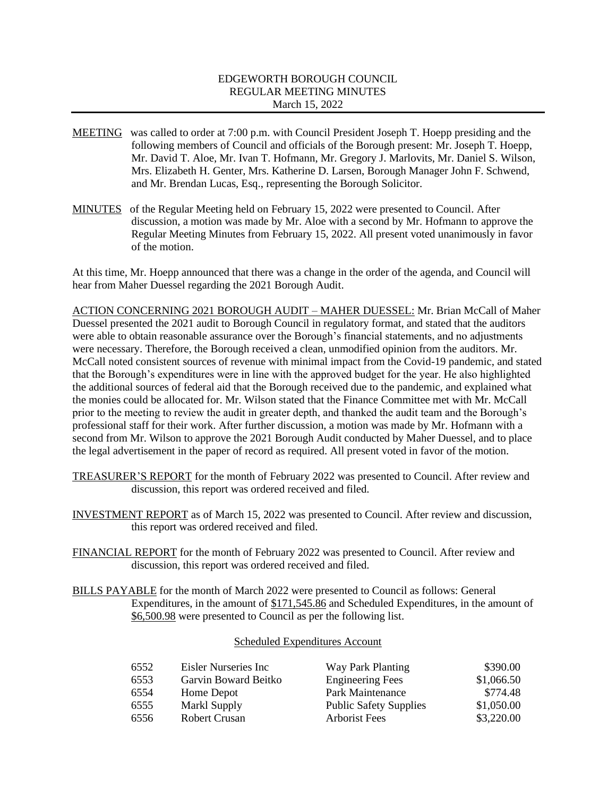## EDGEWORTH BOROUGH COUNCIL REGULAR MEETING MINUTES March 15, 2022

- MEETING was called to order at 7:00 p.m. with Council President Joseph T. Hoepp presiding and the following members of Council and officials of the Borough present: Mr. Joseph T. Hoepp, Mr. David T. Aloe, Mr. Ivan T. Hofmann, Mr. Gregory J. Marlovits, Mr. Daniel S. Wilson, Mrs. Elizabeth H. Genter, Mrs. Katherine D. Larsen, Borough Manager John F. Schwend, and Mr. Brendan Lucas, Esq., representing the Borough Solicitor.
- MINUTES of the Regular Meeting held on February 15, 2022 were presented to Council. After discussion, a motion was made by Mr. Aloe with a second by Mr. Hofmann to approve the Regular Meeting Minutes from February 15, 2022. All present voted unanimously in favor of the motion.

At this time, Mr. Hoepp announced that there was a change in the order of the agenda, and Council will hear from Maher Duessel regarding the 2021 Borough Audit.

ACTION CONCERNING 2021 BOROUGH AUDIT – MAHER DUESSEL: Mr. Brian McCall of Maher Duessel presented the 2021 audit to Borough Council in regulatory format, and stated that the auditors were able to obtain reasonable assurance over the Borough's financial statements, and no adjustments were necessary. Therefore, the Borough received a clean, unmodified opinion from the auditors. Mr. McCall noted consistent sources of revenue with minimal impact from the Covid-19 pandemic, and stated that the Borough's expenditures were in line with the approved budget for the year. He also highlighted the additional sources of federal aid that the Borough received due to the pandemic, and explained what the monies could be allocated for. Mr. Wilson stated that the Finance Committee met with Mr. McCall prior to the meeting to review the audit in greater depth, and thanked the audit team and the Borough's professional staff for their work. After further discussion, a motion was made by Mr. Hofmann with a second from Mr. Wilson to approve the 2021 Borough Audit conducted by Maher Duessel, and to place the legal advertisement in the paper of record as required. All present voted in favor of the motion.

- TREASURER'S REPORT for the month of February 2022 was presented to Council. After review and discussion, this report was ordered received and filed.
- INVESTMENT REPORT as of March 15, 2022 was presented to Council. After review and discussion, this report was ordered received and filed.
- FINANCIAL REPORT for the month of February 2022 was presented to Council. After review and discussion, this report was ordered received and filed.
- BILLS PAYABLE for the month of March 2022 were presented to Council as follows: General Expenditures, in the amount of \$171,545.86 and Scheduled Expenditures, in the amount of \$6,500.98 were presented to Council as per the following list.

## Scheduled Expenditures Account

| 6552 | Eisler Nurseries Inc | Way Park Planting             | \$390.00   |
|------|----------------------|-------------------------------|------------|
| 6553 | Garvin Boward Beitko | <b>Engineering Fees</b>       | \$1,066.50 |
| 6554 | Home Depot           | Park Maintenance              | \$774.48   |
| 6555 | Markl Supply         | <b>Public Safety Supplies</b> | \$1,050.00 |
| 6556 | <b>Robert Crusan</b> | <b>Arborist Fees</b>          | \$3,220.00 |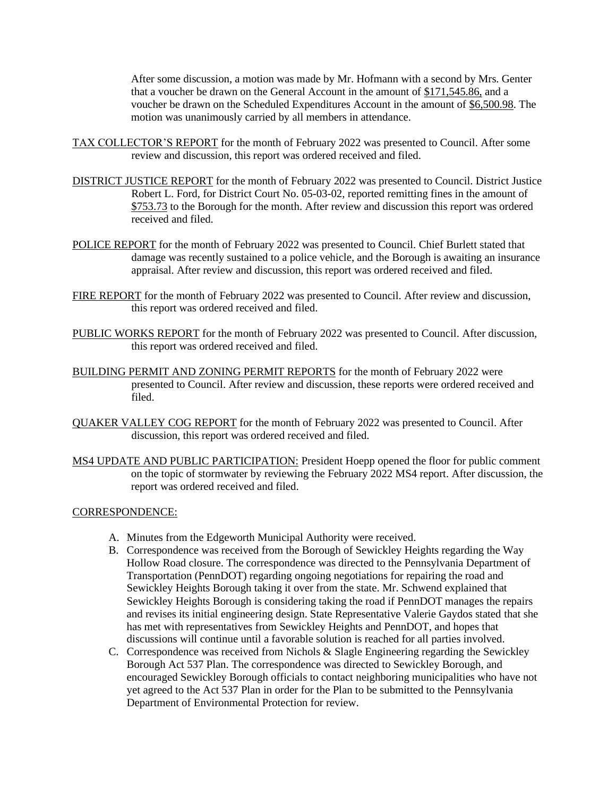After some discussion, a motion was made by Mr. Hofmann with a second by Mrs. Genter that a voucher be drawn on the General Account in the amount of \$171,545.86, and a voucher be drawn on the Scheduled Expenditures Account in the amount of \$6,500.98. The motion was unanimously carried by all members in attendance.

- TAX COLLECTOR'S REPORT for the month of February 2022 was presented to Council. After some review and discussion, this report was ordered received and filed.
- DISTRICT JUSTICE REPORT for the month of February 2022 was presented to Council. District Justice Robert L. Ford, for District Court No. 05-03-02, reported remitting fines in the amount of \$753.73 to the Borough for the month. After review and discussion this report was ordered received and filed.
- POLICE REPORT for the month of February 2022 was presented to Council. Chief Burlett stated that damage was recently sustained to a police vehicle, and the Borough is awaiting an insurance appraisal. After review and discussion, this report was ordered received and filed.
- FIRE REPORT for the month of February 2022 was presented to Council. After review and discussion, this report was ordered received and filed.
- PUBLIC WORKS REPORT for the month of February 2022 was presented to Council. After discussion, this report was ordered received and filed.
- BUILDING PERMIT AND ZONING PERMIT REPORTS for the month of February 2022 were presented to Council. After review and discussion, these reports were ordered received and filed.
- QUAKER VALLEY COG REPORT for the month of February 2022 was presented to Council. After discussion, this report was ordered received and filed.
- MS4 UPDATE AND PUBLIC PARTICIPATION: President Hoepp opened the floor for public comment on the topic of stormwater by reviewing the February 2022 MS4 report. After discussion, the report was ordered received and filed.

#### CORRESPONDENCE:

- A. Minutes from the Edgeworth Municipal Authority were received.
- B. Correspondence was received from the Borough of Sewickley Heights regarding the Way Hollow Road closure. The correspondence was directed to the Pennsylvania Department of Transportation (PennDOT) regarding ongoing negotiations for repairing the road and Sewickley Heights Borough taking it over from the state. Mr. Schwend explained that Sewickley Heights Borough is considering taking the road if PennDOT manages the repairs and revises its initial engineering design. State Representative Valerie Gaydos stated that she has met with representatives from Sewickley Heights and PennDOT, and hopes that discussions will continue until a favorable solution is reached for all parties involved.
- C. Correspondence was received from Nichols & Slagle Engineering regarding the Sewickley Borough Act 537 Plan. The correspondence was directed to Sewickley Borough, and encouraged Sewickley Borough officials to contact neighboring municipalities who have not yet agreed to the Act 537 Plan in order for the Plan to be submitted to the Pennsylvania Department of Environmental Protection for review.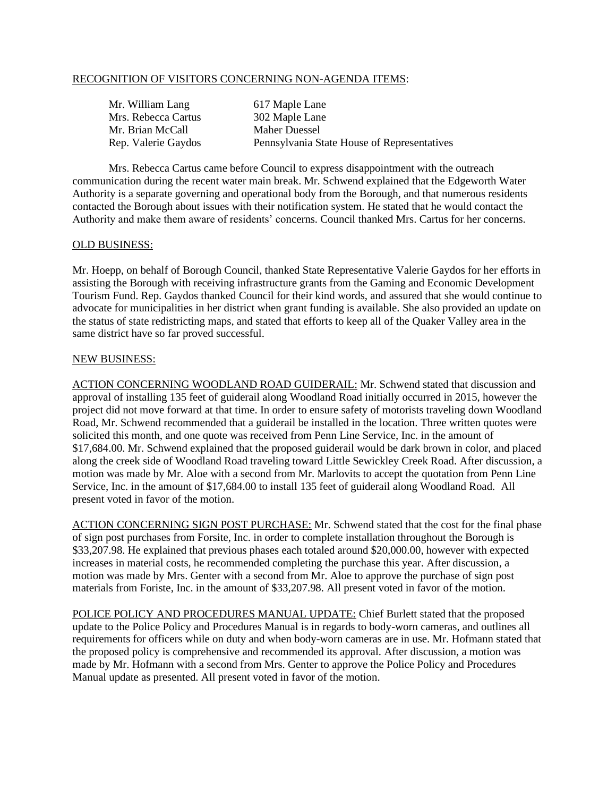## RECOGNITION OF VISITORS CONCERNING NON-AGENDA ITEMS:

| Mr. William Lang    | 617 Maple Lane                              |
|---------------------|---------------------------------------------|
| Mrs. Rebecca Cartus | 302 Maple Lane                              |
| Mr. Brian McCall    | Maher Duessel                               |
| Rep. Valerie Gaydos | Pennsylvania State House of Representatives |

Mrs. Rebecca Cartus came before Council to express disappointment with the outreach communication during the recent water main break. Mr. Schwend explained that the Edgeworth Water Authority is a separate governing and operational body from the Borough, and that numerous residents contacted the Borough about issues with their notification system. He stated that he would contact the Authority and make them aware of residents' concerns. Council thanked Mrs. Cartus for her concerns.

#### OLD BUSINESS:

Mr. Hoepp, on behalf of Borough Council, thanked State Representative Valerie Gaydos for her efforts in assisting the Borough with receiving infrastructure grants from the Gaming and Economic Development Tourism Fund. Rep. Gaydos thanked Council for their kind words, and assured that she would continue to advocate for municipalities in her district when grant funding is available. She also provided an update on the status of state redistricting maps, and stated that efforts to keep all of the Quaker Valley area in the same district have so far proved successful.

### NEW BUSINESS:

ACTION CONCERNING WOODLAND ROAD GUIDERAIL: Mr. Schwend stated that discussion and approval of installing 135 feet of guiderail along Woodland Road initially occurred in 2015, however the project did not move forward at that time. In order to ensure safety of motorists traveling down Woodland Road, Mr. Schwend recommended that a guiderail be installed in the location. Three written quotes were solicited this month, and one quote was received from Penn Line Service, Inc. in the amount of \$17,684.00. Mr. Schwend explained that the proposed guiderail would be dark brown in color, and placed along the creek side of Woodland Road traveling toward Little Sewickley Creek Road. After discussion, a motion was made by Mr. Aloe with a second from Mr. Marlovits to accept the quotation from Penn Line Service, Inc. in the amount of \$17,684.00 to install 135 feet of guiderail along Woodland Road. All present voted in favor of the motion.

ACTION CONCERNING SIGN POST PURCHASE: Mr. Schwend stated that the cost for the final phase of sign post purchases from Forsite, Inc. in order to complete installation throughout the Borough is \$33,207.98. He explained that previous phases each totaled around \$20,000.00, however with expected increases in material costs, he recommended completing the purchase this year. After discussion, a motion was made by Mrs. Genter with a second from Mr. Aloe to approve the purchase of sign post materials from Foriste, Inc. in the amount of \$33,207.98. All present voted in favor of the motion.

POLICE POLICY AND PROCEDURES MANUAL UPDATE: Chief Burlett stated that the proposed update to the Police Policy and Procedures Manual is in regards to body-worn cameras, and outlines all requirements for officers while on duty and when body-worn cameras are in use. Mr. Hofmann stated that the proposed policy is comprehensive and recommended its approval. After discussion, a motion was made by Mr. Hofmann with a second from Mrs. Genter to approve the Police Policy and Procedures Manual update as presented. All present voted in favor of the motion.